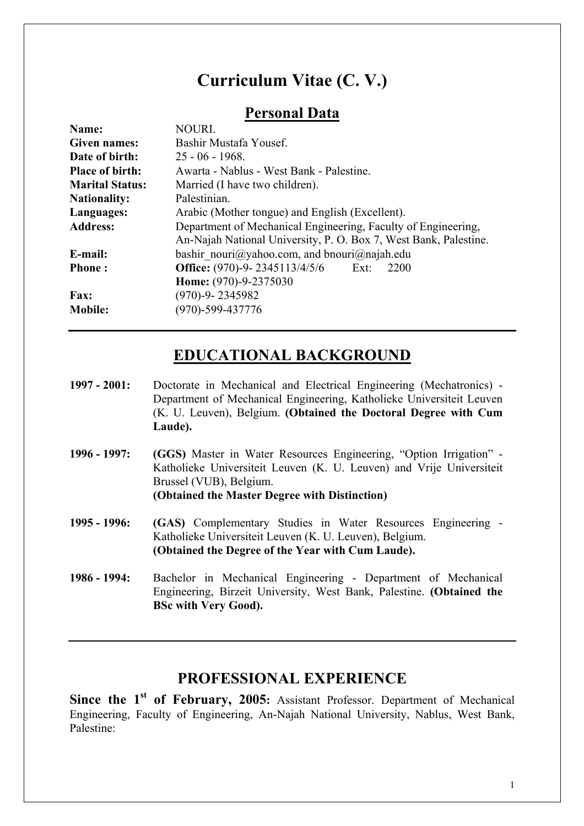# **Curriculum Vitae (C. V.)**

# **Personal Data**

| Name:                  | NOURI.                                                           |
|------------------------|------------------------------------------------------------------|
| Given names:           | Bashir Mustafa Yousef.                                           |
| Date of birth:         | $25 - 06 - 1968$ .                                               |
| <b>Place of birth:</b> | Awarta - Nablus - West Bank - Palestine.                         |
| <b>Marital Status:</b> | Married (I have two children).                                   |
| <b>Nationality:</b>    | Palestinian.                                                     |
| Languages:             | Arabic (Mother tongue) and English (Excellent).                  |
| <b>Address:</b>        | Department of Mechanical Engineering, Faculty of Engineering,    |
|                        | An-Najah National University, P. O. Box 7, West Bank, Palestine. |
| E-mail:                | bashir nouri@yahoo.com, and bnouri@najah.edu                     |
| <b>Phone:</b>          | <b>Office:</b> (970)-9-2345113/4/5/6 Ext:<br>2200                |
|                        | Home: (970)-9-2375030                                            |
| <b>Fax:</b>            | $(970)-9 - 2345982$                                              |
| <b>Mobile:</b>         | $(970)$ -599-437776                                              |
|                        |                                                                  |

## **EDUCATIONAL BACKGROUND**

- **1997 2001:** Doctorate in Mechanical and Electrical Engineering (Mechatronics) Department of Mechanical Engineering, Katholieke Universiteit Leuven (K. U. Leuven), Belgium. **(Obtained the Doctoral Degree with Cum Laude).**
- **1996 1997: (GGS)** Master in Water Resources Engineering, "Option Irrigation" Katholieke Universiteit Leuven (K. U. Leuven) and Vrije Universiteit Brussel (VUB), Belgium. **(Obtained the Master Degree with Distinction)**
- **1995 1996: (GAS)** Complementary Studies in Water Resources Engineering Katholieke Universiteit Leuven (K. U. Leuven), Belgium. **(Obtained the Degree of the Year with Cum Laude).**
- **1986 1994:** Bachelor in Mechanical Engineering Department of Mechanical Engineering, Birzeit University, West Bank, Palestine. **(Obtained the BSc with Very Good).**

# **PROFESSIONAL EXPERIENCE**

Since the 1<sup>st</sup> of February, 2005: Assistant Professor. Department of Mechanical Engineering, Faculty of Engineering, An-Najah National University, Nablus, West Bank, Palestine: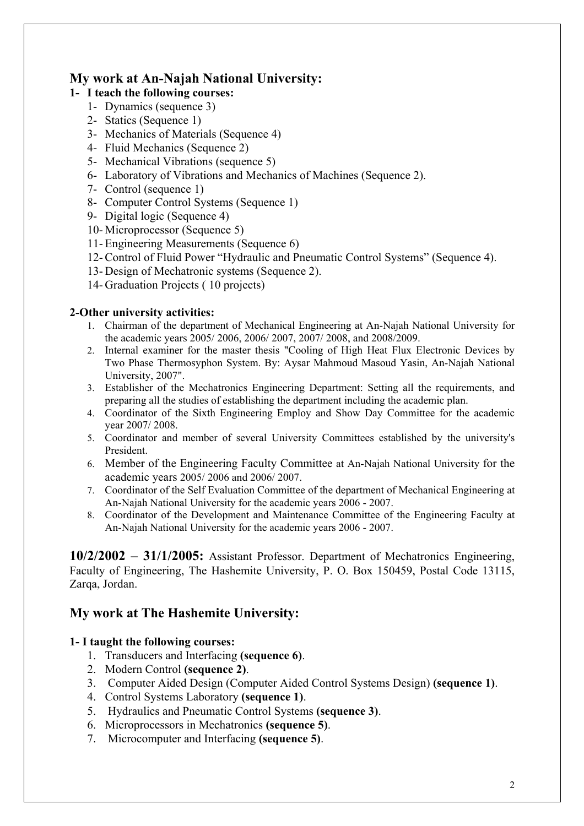## **My work at An-Najah National University:**

### **1- I teach the following courses:**

- 1- Dynamics (sequence 3)
- 2- Statics (Sequence 1)
- 3- Mechanics of Materials (Sequence 4)
- 4- Fluid Mechanics (Sequence 2)
- 5- Mechanical Vibrations (sequence 5)
- 6- Laboratory of Vibrations and Mechanics of Machines (Sequence 2).
- 7- Control (sequence 1)
- 8- Computer Control Systems (Sequence 1)
- 9- Digital logic (Sequence 4)
- 10- Microprocessor (Sequence 5)
- 11- Engineering Measurements (Sequence 6)
- 12- Control of Fluid Power "Hydraulic and Pneumatic Control Systems" (Sequence 4).
- 13- Design of Mechatronic systems (Sequence 2).
- 14- Graduation Projects ( 10 projects)

### **2-Other university activities:**

- 1. Chairman of the department of Mechanical Engineering at An-Najah National University for the academic years 2005/ 2006, 2006/ 2007, 2007/ 2008, and 2008/2009.
- 2. Internal examiner for the master thesis "Cooling of High Heat Flux Electronic Devices by Two Phase Thermosyphon System. By: Aysar Mahmoud Masoud Yasin, An-Najah National University, 2007".
- 3. Establisher of the Mechatronics Engineering Department: Setting all the requirements, and preparing all the studies of establishing the department including the academic plan.
- 4. Coordinator of the Sixth Engineering Employ and Show Day Committee for the academic year 2007/ 2008.
- 5. Coordinator and member of several University Committees established by the university's President.
- 6. Member of the Engineering Faculty Committee at An-Najah National University for the academic years 2005/ 2006 and 2006/ 2007.
- 7. Coordinator of the Self Evaluation Committee of the department of Mechanical Engineering at An-Najah National University for the academic years 2006 - 2007.
- 8. Coordinator of the Development and Maintenance Committee of the Engineering Faculty at An-Najah National University for the academic years 2006 - 2007.

**10/2/2002 – 31/1/2005:** Assistant Professor. Department of Mechatronics Engineering, Faculty of Engineering, The Hashemite University, P. O. Box 150459, Postal Code 13115, Zarqa, Jordan.

# **My work at The Hashemite University:**

## **1- I taught the following courses:**

- 1. Transducers and Interfacing **(sequence 6)**.
- 2. Modern Control **(sequence 2)**.
- 3. Computer Aided Design (Computer Aided Control Systems Design) **(sequence 1)**.
- 4. Control Systems Laboratory **(sequence 1)**.
- 5. Hydraulics and Pneumatic Control Systems **(sequence 3)**.
- 6. Microprocessors in Mechatronics **(sequence 5)**.
- 7. Microcomputer and Interfacing **(sequence 5)**.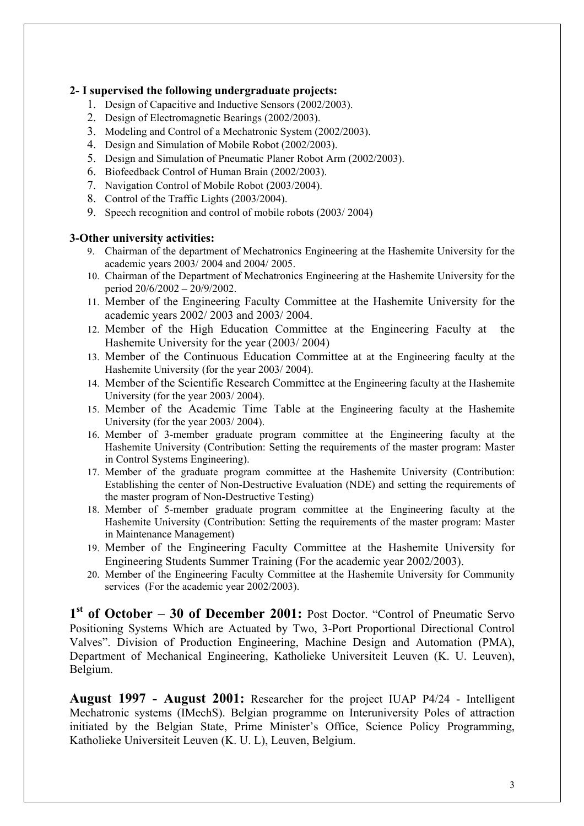#### **2- I supervised the following undergraduate projects:**

- 1. Design of Capacitive and Inductive Sensors (2002/2003).
- 2. Design of Electromagnetic Bearings (2002/2003).
- 3. Modeling and Control of a Mechatronic System (2002/2003).
- 4. Design and Simulation of Mobile Robot (2002/2003).
- 5. Design and Simulation of Pneumatic Planer Robot Arm (2002/2003).
- 6. Biofeedback Control of Human Brain (2002/2003).
- 7. Navigation Control of Mobile Robot (2003/2004).
- 8. Control of the Traffic Lights (2003/2004).
- 9. Speech recognition and control of mobile robots (2003/ 2004)

#### **3-Other university activities:**

- 9. Chairman of the department of Mechatronics Engineering at the Hashemite University for the academic years 2003/ 2004 and 2004/ 2005.
- 10. Chairman of the Department of Mechatronics Engineering at the Hashemite University for the period 20/6/2002 – 20/9/2002.
- 11. Member of the Engineering Faculty Committee at the Hashemite University for the academic years 2002/ 2003 and 2003/ 2004.
- 12. Member of the High Education Committee at the Engineering Faculty at the Hashemite University for the year (2003/ 2004)
- 13. Member of the Continuous Education Committee at at the Engineering faculty at the Hashemite University (for the year 2003/ 2004).
- 14. Member of the Scientific Research Committee at the Engineering faculty at the Hashemite University (for the year 2003/ 2004).
- 15. Member of the Academic Time Table at the Engineering faculty at the Hashemite University (for the year 2003/ 2004).
- 16. Member of 3-member graduate program committee at the Engineering faculty at the Hashemite University (Contribution: Setting the requirements of the master program: Master in Control Systems Engineering).
- 17. Member of the graduate program committee at the Hashemite University (Contribution: Establishing the center of Non-Destructive Evaluation (NDE) and setting the requirements of the master program of Non-Destructive Testing)
- 18. Member of 5-member graduate program committee at the Engineering faculty at the Hashemite University (Contribution: Setting the requirements of the master program: Master in Maintenance Management)
- 19. Member of the Engineering Faculty Committee at the Hashemite University for Engineering Students Summer Training (For the academic year 2002/2003).
- 20. Member of the Engineering Faculty Committee at the Hashemite University for Community services (For the academic year 2002/2003).

**1st of October – 30 of December 2001:** Post Doctor. "Control of Pneumatic Servo Positioning Systems Which are Actuated by Two, 3-Port Proportional Directional Control Valves". Division of Production Engineering, Machine Design and Automation (PMA), Department of Mechanical Engineering, Katholieke Universiteit Leuven (K. U. Leuven), Belgium.

**August 1997 - August 2001:** Researcher for the project IUAP P4/24 - Intelligent Mechatronic systems (IMechS). Belgian programme on Interuniversity Poles of attraction initiated by the Belgian State, Prime Minister's Office, Science Policy Programming, Katholieke Universiteit Leuven (K. U. L), Leuven, Belgium.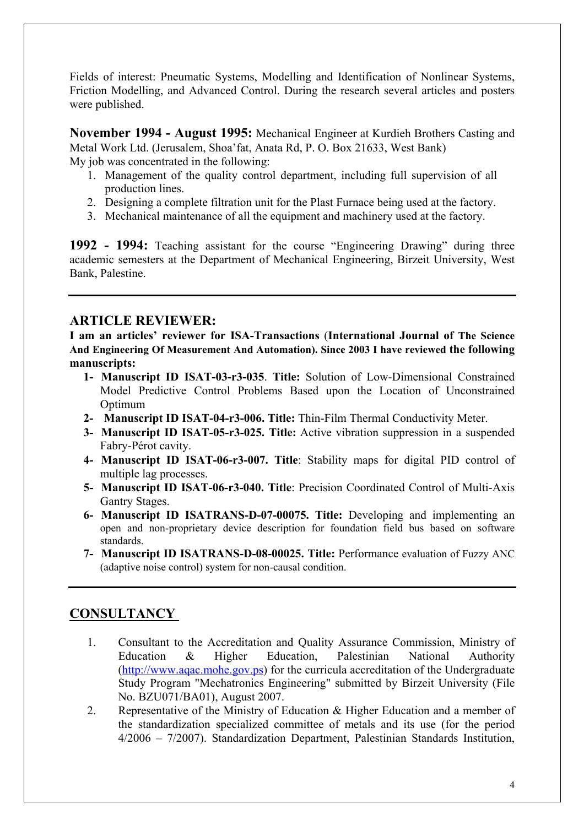Fields of interest: Pneumatic Systems, Modelling and Identification of Nonlinear Systems, Friction Modelling, and Advanced Control. During the research several articles and posters were published.

**November 1994 - August 1995:** Mechanical Engineer at Kurdieh Brothers Casting and Metal Work Ltd. (Jerusalem, Shoa'fat, Anata Rd, P. O. Box 21633, West Bank) My job was concentrated in the following:

- 1. Management of the quality control department, including full supervision of all production lines.
- 2. Designing a complete filtration unit for the Plast Furnace being used at the factory.
- 3. Mechanical maintenance of all the equipment and machinery used at the factory.

**1992 - 1994:** Teaching assistant for the course "Engineering Drawing" during three academic semesters at the Department of Mechanical Engineering, Birzeit University, West Bank, Palestine.

### **ARTICLE REVIEWER:**

**I am an articles' reviewer for ISA-Transactions** (**International Journal of The Science And Engineering Of Measurement And Automation). Since 2003 I have reviewed the following manuscripts:** 

- **1- Manuscript ID ISAT-03-r3-035**. **Title:** Solution of Low-Dimensional Constrained Model Predictive Control Problems Based upon the Location of Unconstrained Optimum
- **2- Manuscript ID ISAT-04-r3-006. Title:** Thin-Film Thermal Conductivity Meter.
- **3- Manuscript ID ISAT-05-r3-025. Title:** Active vibration suppression in a suspended Fabry-Pérot cavity.
- **4- Manuscript ID ISAT-06-r3-007. Title**: Stability maps for digital PID control of multiple lag processes.
- **5- Manuscript ID ISAT-06-r3-040. Title**: Precision Coordinated Control of Multi-Axis Gantry Stages.
- **6- Manuscript ID ISATRANS-D-07-00075. Title:** Developing and implementing an open and non-proprietary device description for foundation field bus based on software standards.
- **7- Manuscript ID ISATRANS-D-08-00025. Title:** Performance evaluation of Fuzzy ANC (adaptive noise control) system for non-causal condition.

## **CONSULTANCY**

- 1. Consultant to the Accreditation and Quality Assurance Commission, Ministry of Education & Higher Education, Palestinian National Authority [\(http://www.aqac.mohe.gov.ps](http://www.aqac.mohe.gov.ps/)) for the curricula accreditation of the Undergraduate Study Program "Mechatronics Engineering" submitted by Birzeit University (File No. BZU071/BA01), August 2007.
- 2. Representative of the Ministry of Education & Higher Education and a member of the standardization specialized committee of metals and its use (for the period 4/2006 – 7/2007). Standardization Department, Palestinian Standards Institution,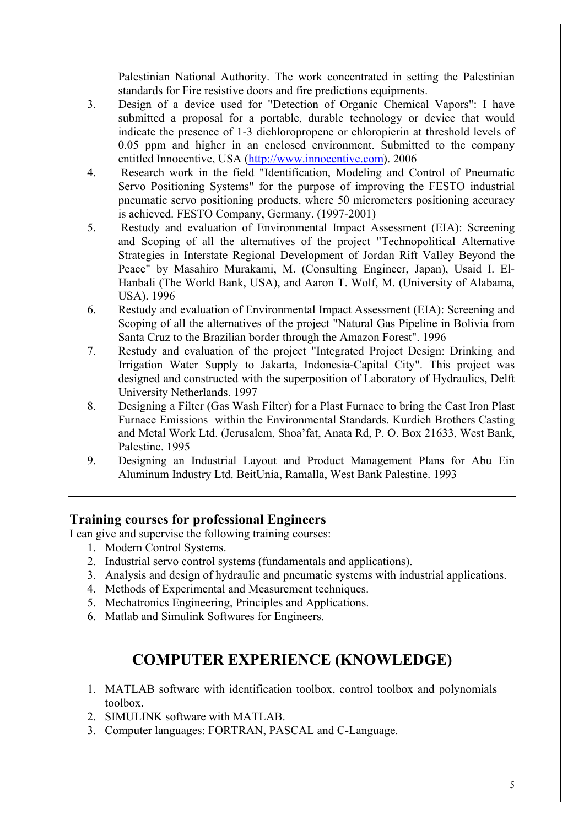Palestinian National Authority. The work concentrated in setting the Palestinian standards for Fire resistive doors and fire predictions equipments.

- 3. Design of a device used for "Detection of Organic Chemical Vapors": I have submitted a proposal for a portable, durable technology or device that would indicate the presence of 1-3 dichloropropene or chloropicrin at threshold levels of 0.05 ppm and higher in an enclosed environment. Submitted to the company entitled Innocentive, USA [\(http://www.innocentive.com\)](http://www.innocentive.com/). 2006
- 4. Research work in the field "Identification, Modeling and Control of Pneumatic Servo Positioning Systems" for the purpose of improving the FESTO industrial pneumatic servo positioning products, where 50 micrometers positioning accuracy is achieved. FESTO Company, Germany. (1997-2001)
- 5. Restudy and evaluation of Environmental Impact Assessment (EIA): Screening and Scoping of all the alternatives of the project "Technopolitical Alternative Strategies in Interstate Regional Development of Jordan Rift Valley Beyond the Peace" by Masahiro Murakami, M. (Consulting Engineer, Japan), Usaid I. El-Hanbali (The World Bank, USA), and Aaron T. Wolf, M. (University of Alabama, USA). 1996
- 6. Restudy and evaluation of Environmental Impact Assessment (EIA): Screening and Scoping of all the alternatives of the project "Natural Gas Pipeline in Bolivia from Santa Cruz to the Brazilian border through the Amazon Forest". 1996
- 7. Restudy and evaluation of the project "Integrated Project Design: Drinking and Irrigation Water Supply to Jakarta, Indonesia-Capital City". This project was designed and constructed with the superposition of Laboratory of Hydraulics, Delft University Netherlands. 1997
- 8. Designing a Filter (Gas Wash Filter) for a Plast Furnace to bring the Cast Iron Plast Furnace Emissions within the Environmental Standards. Kurdieh Brothers Casting and Metal Work Ltd. (Jerusalem, Shoa'fat, Anata Rd, P. O. Box 21633, West Bank, Palestine. 1995
- 9. Designing an Industrial Layout and Product Management Plans for Abu Ein Aluminum Industry Ltd. BeitUnia, Ramalla, West Bank Palestine. 1993

### **Training courses for professional Engineers**

I can give and supervise the following training courses:

- 1. Modern Control Systems.
- 2. Industrial servo control systems (fundamentals and applications).
- 3. Analysis and design of hydraulic and pneumatic systems with industrial applications.
- 4. Methods of Experimental and Measurement techniques.
- 5. Mechatronics Engineering, Principles and Applications.
- 6. Matlab and Simulink Softwares for Engineers.

# **COMPUTER EXPERIENCE (KNOWLEDGE)**

- 1. MATLAB software with identification toolbox, control toolbox and polynomials toolbox.
- 2. SIMULINK software with MATLAB.
- 3. Computer languages: FORTRAN, PASCAL and C-Language.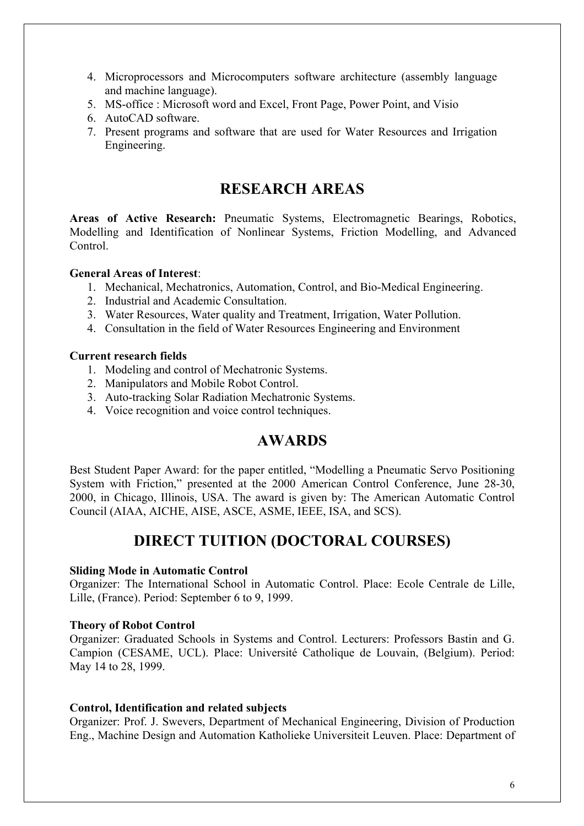- 4. Microprocessors and Microcomputers software architecture (assembly language and machine language).
- 5. MS-office : Microsoft word and Excel, Front Page, Power Point, and Visio
- 6. AutoCAD software.
- 7. Present programs and software that are used for Water Resources and Irrigation Engineering.

## **RESEARCH AREAS**

**Areas of Active Research:** Pneumatic Systems, Electromagnetic Bearings, Robotics, Modelling and Identification of Nonlinear Systems, Friction Modelling, and Advanced Control.

#### **General Areas of Interest**:

- 1. Mechanical, Mechatronics, Automation, Control, and Bio-Medical Engineering.
- 2. Industrial and Academic Consultation.
- 3. Water Resources, Water quality and Treatment, Irrigation, Water Pollution.
- 4. Consultation in the field of Water Resources Engineering and Environment

#### **Current research fields**

- 1. Modeling and control of Mechatronic Systems.
- 2. Manipulators and Mobile Robot Control.
- 3. Auto-tracking Solar Radiation Mechatronic Systems.
- 4. Voice recognition and voice control techniques.

## **AWARDS**

Best Student Paper Award: for the paper entitled, "Modelling a Pneumatic Servo Positioning System with Friction," presented at the 2000 American Control Conference, June 28-30, 2000, in Chicago, Illinois, USA. The award is given by: The American Automatic Control Council (AIAA, AICHE, AISE, ASCE, ASME, IEEE, ISA, and SCS).

## **DIRECT TUITION (DOCTORAL COURSES)**

#### **Sliding Mode in Automatic Control**

Organizer: The International School in Automatic Control. Place: Ecole Centrale de Lille, Lille, (France). Period: September 6 to 9, 1999.

#### **Theory of Robot Control**

Organizer: Graduated Schools in Systems and Control. Lecturers: Professors Bastin and G. Campion (CESAME, UCL). Place: Université Catholique de Louvain, (Belgium). Period: May 14 to 28, 1999.

#### **Control, Identification and related subjects**

Organizer: Prof. J. Swevers, Department of Mechanical Engineering, Division of Production Eng., Machine Design and Automation Katholieke Universiteit Leuven. Place: Department of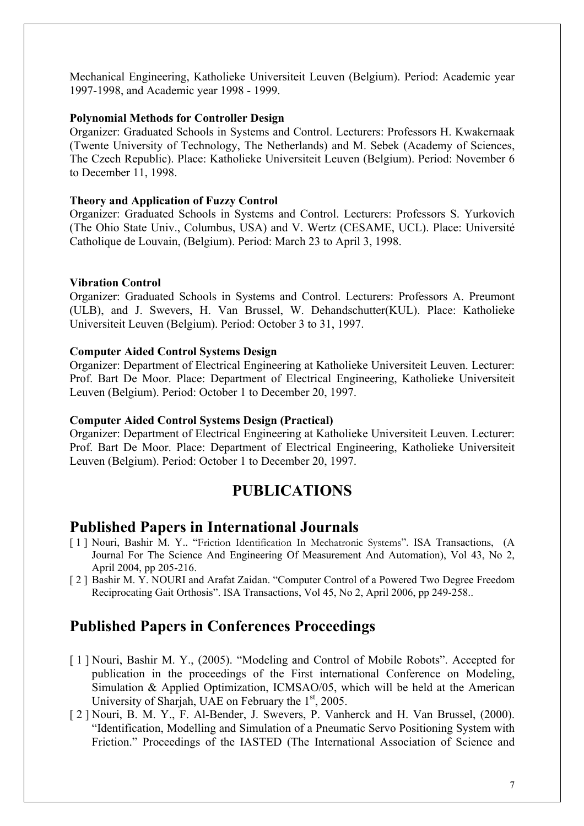Mechanical Engineering, Katholieke Universiteit Leuven (Belgium). Period: Academic year 1997-1998, and Academic year 1998 - 1999.

#### **Polynomial Methods for Controller Design**

Organizer: Graduated Schools in Systems and Control. Lecturers: Professors H. Kwakernaak (Twente University of Technology, The Netherlands) and M. Sebek (Academy of Sciences, The Czech Republic). Place: Katholieke Universiteit Leuven (Belgium). Period: November 6 to December 11, 1998.

#### **Theory and Application of Fuzzy Control**

Organizer: Graduated Schools in Systems and Control. Lecturers: Professors S. Yurkovich (The Ohio State Univ., Columbus, USA) and V. Wertz (CESAME, UCL). Place: Université Catholique de Louvain, (Belgium). Period: March 23 to April 3, 1998.

#### **Vibration Control**

Organizer: Graduated Schools in Systems and Control. Lecturers: Professors A. Preumont (ULB), and J. Swevers, H. Van Brussel, W. Dehandschutter(KUL). Place: Katholieke Universiteit Leuven (Belgium). Period: October 3 to 31, 1997.

#### **Computer Aided Control Systems Design**

Organizer: Department of Electrical Engineering at Katholieke Universiteit Leuven. Lecturer: Prof. Bart De Moor. Place: Department of Electrical Engineering, Katholieke Universiteit Leuven (Belgium). Period: October 1 to December 20, 1997.

#### **Computer Aided Control Systems Design (Practical)**

Organizer: Department of Electrical Engineering at Katholieke Universiteit Leuven. Lecturer: Prof. Bart De Moor. Place: Department of Electrical Engineering, Katholieke Universiteit Leuven (Belgium). Period: October 1 to December 20, 1997.

## **PUBLICATIONS**

### **Published Papers in International Journals**

- [ 1 ] Nouri, Bashir M. Y.. "Friction Identification In Mechatronic Systems". ISA Transactions, (A Journal For The Science And Engineering Of Measurement And Automation), Vol 43, No 2, April 2004, pp 205-216.
- [ 2 ] Bashir M. Y. NOURI and Arafat Zaidan. "Computer Control of a Powered Two Degree Freedom Reciprocating Gait Orthosis". ISA Transactions, Vol 45, No 2, April 2006, pp 249-258..

## **Published Papers in Conferences Proceedings**

- [ 1 ] Nouri, Bashir M. Y., (2005). "Modeling and Control of Mobile Robots". Accepted for publication in the proceedings of the First international Conference on Modeling, Simulation & Applied Optimization, ICMSAO/05, which will be held at the American University of Sharjah, UAE on February the  $1<sup>st</sup>$ , 2005.
- [ 2 ] Nouri, B. M. Y., F. Al-Bender, J. Swevers, P. Vanherck and H. Van Brussel, (2000). "Identification, Modelling and Simulation of a Pneumatic Servo Positioning System with Friction." Proceedings of the IASTED (The International Association of Science and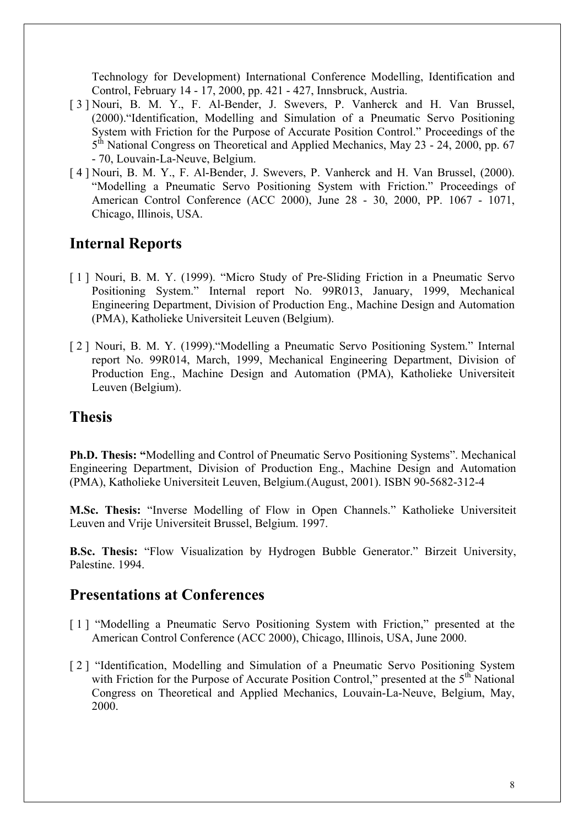Technology for Development) International Conference Modelling, Identification and Control, February 14 - 17, 2000, pp. 421 - 427, Innsbruck, Austria.

- [ 3 ] Nouri, B. M. Y., F. Al-Bender, J. Swevers, P. Vanherck and H. Van Brussel, (2000)."Identification, Modelling and Simulation of a Pneumatic Servo Positioning System with Friction for the Purpose of Accurate Position Control." Proceedings of the 5<sup>th</sup> National Congress on Theoretical and Applied Mechanics, May 23 - 24, 2000, pp. 67 - 70, Louvain-La-Neuve, Belgium.
- [ 4 ] Nouri, B. M. Y., F. Al-Bender, J. Swevers, P. Vanherck and H. Van Brussel, (2000). "Modelling a Pneumatic Servo Positioning System with Friction." Proceedings of American Control Conference (ACC 2000), June 28 - 30, 2000, PP. 1067 - 1071, Chicago, Illinois, USA.

## **Internal Reports**

- [1] Nouri, B. M. Y. (1999). "Micro Study of Pre-Sliding Friction in a Pneumatic Servo Positioning System." Internal report No. 99R013, January, 1999, Mechanical Engineering Department, Division of Production Eng., Machine Design and Automation (PMA), Katholieke Universiteit Leuven (Belgium).
- [ 2 ] Nouri, B. M. Y. (1999)."Modelling a Pneumatic Servo Positioning System." Internal report No. 99R014, March, 1999, Mechanical Engineering Department, Division of Production Eng., Machine Design and Automation (PMA), Katholieke Universiteit Leuven (Belgium).

## **Thesis**

**Ph.D. Thesis: "**Modelling and Control of Pneumatic Servo Positioning Systems". Mechanical Engineering Department, Division of Production Eng., Machine Design and Automation (PMA), Katholieke Universiteit Leuven, Belgium.(August, 2001). ISBN 90-5682-312-4

**M.Sc. Thesis:** "Inverse Modelling of Flow in Open Channels." Katholieke Universiteit Leuven and Vrije Universiteit Brussel, Belgium. 1997.

**B.Sc. Thesis:** "Flow Visualization by Hydrogen Bubble Generator." Birzeit University, Palestine. 1994.

## **Presentations at Conferences**

- [1] "Modelling a Pneumatic Servo Positioning System with Friction," presented at the American Control Conference (ACC 2000), Chicago, Illinois, USA, June 2000.
- [ 2 ] "Identification, Modelling and Simulation of a Pneumatic Servo Positioning System with Friction for the Purpose of Accurate Position Control," presented at the  $5<sup>th</sup>$  National Congress on Theoretical and Applied Mechanics, Louvain-La-Neuve, Belgium, May, 2000.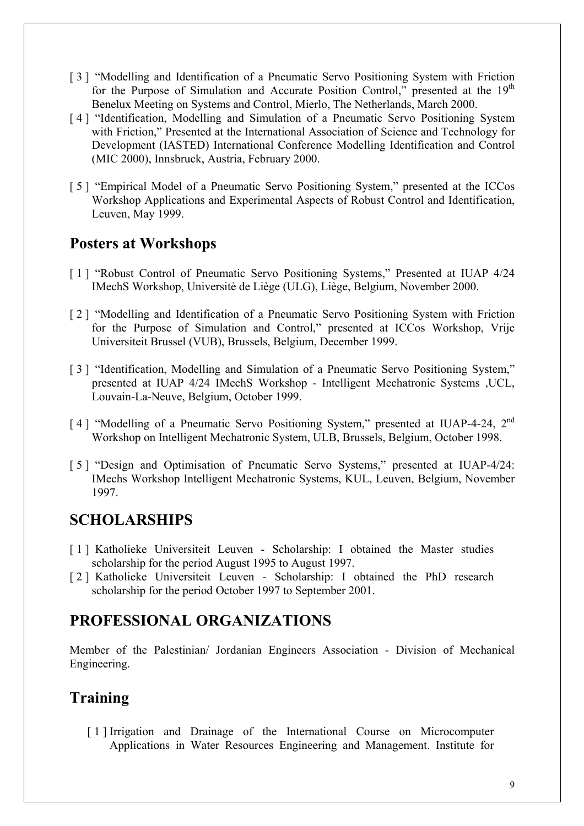- [ 3 ] "Modelling and Identification of a Pneumatic Servo Positioning System with Friction for the Purpose of Simulation and Accurate Position Control," presented at the  $19<sup>th</sup>$ Benelux Meeting on Systems and Control, Mierlo, The Netherlands, March 2000.
- [4] "Identification, Modelling and Simulation of a Pneumatic Servo Positioning System with Friction," Presented at the International Association of Science and Technology for Development (IASTED) International Conference Modelling Identification and Control (MIC 2000), Innsbruck, Austria, February 2000.
- [ 5 ] "Empirical Model of a Pneumatic Servo Positioning System," presented at the ICCos Workshop Applications and Experimental Aspects of Robust Control and Identification, Leuven, May 1999.

## **Posters at Workshops**

- [ 1 ] "Robust Control of Pneumatic Servo Positioning Systems," Presented at IUAP 4/24 IMechS Workshop, Universitè de Liège (ULG), Liège, Belgium, November 2000.
- [2] "Modelling and Identification of a Pneumatic Servo Positioning System with Friction for the Purpose of Simulation and Control," presented at ICCos Workshop, Vrije Universiteit Brussel (VUB), Brussels, Belgium, December 1999.
- [ 3 ] "Identification, Modelling and Simulation of a Pneumatic Servo Positioning System," presented at IUAP 4/24 IMechS Workshop - Intelligent Mechatronic Systems ,UCL, Louvain-La-Neuve, Belgium, October 1999.
- [4] "Modelling of a Pneumatic Servo Positioning System," presented at IUAP-4-24, 2<sup>nd</sup> Workshop on Intelligent Mechatronic System, ULB, Brussels, Belgium, October 1998.
- [ 5 ] "Design and Optimisation of Pneumatic Servo Systems," presented at IUAP-4/24: IMechs Workshop Intelligent Mechatronic Systems, KUL, Leuven, Belgium, November 1997.

## **SCHOLARSHIPS**

- [1] Katholieke Universiteit Leuven Scholarship: I obtained the Master studies scholarship for the period August 1995 to August 1997.
- [ 2 ] Katholieke Universiteit Leuven Scholarship: I obtained the PhD research scholarship for the period October 1997 to September 2001.

# **PROFESSIONAL ORGANIZATIONS**

Member of the Palestinian/ Jordanian Engineers Association - Division of Mechanical Engineering.

# **Training**

[1] Irrigation and Drainage of the International Course on Microcomputer Applications in Water Resources Engineering and Management. Institute for